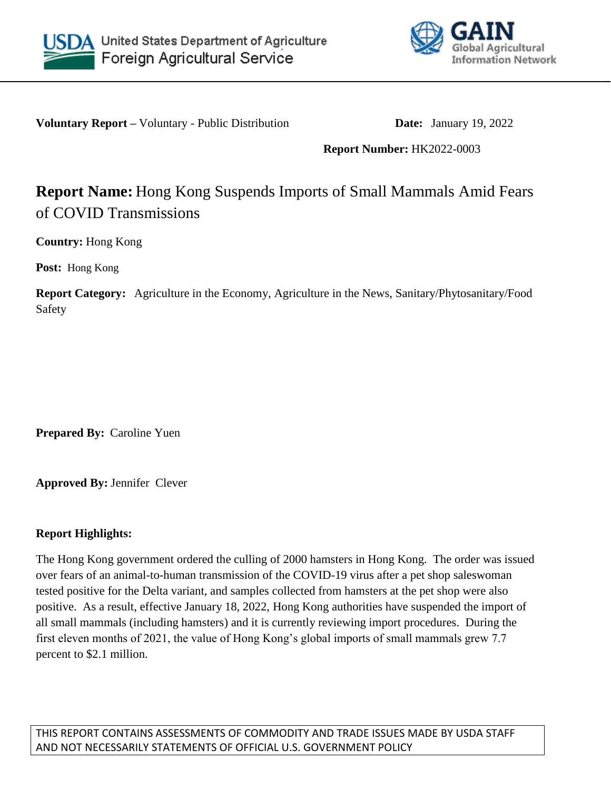



**Voluntary Report –** Voluntary - Public Distribution **Date:** January 19, 2022

## **Report Number:** HK2022-0003

# **Report Name:** Hong Kong Suspends Imports of Small Mammals Amid Fears of COVID Transmissions

**Country:** Hong Kong

**Post:** Hong Kong

**Report Category:** Agriculture in the Economy, Agriculture in the News, Sanitary/Phytosanitary/Food Safety

**Prepared By:** Caroline Yuen

**Approved By:** Jennifer Clever

## **Report Highlights:**

The Hong Kong government ordered the culling of 2000 hamsters in Hong Kong. The order was issued over fears of an animal-to-human transmission of the COVID-19 virus after a pet shop saleswoman tested positive for the Delta variant, and samples collected from hamsters at the pet shop were also positive. As a result, effective January 18, 2022, Hong Kong authorities have suspended the import of all small mammals (including hamsters) and it is currently reviewing import procedures. During the first eleven months of 2021, the value of Hong Kong's global imports of small mammals grew 7.7 percent to \$2.1 million.

THIS REPORT CONTAINS ASSESSMENTS OF COMMODITY AND TRADE ISSUES MADE BY USDA STAFF AND NOT NECESSARILY STATEMENTS OF OFFICIAL U.S. GOVERNMENT POLICY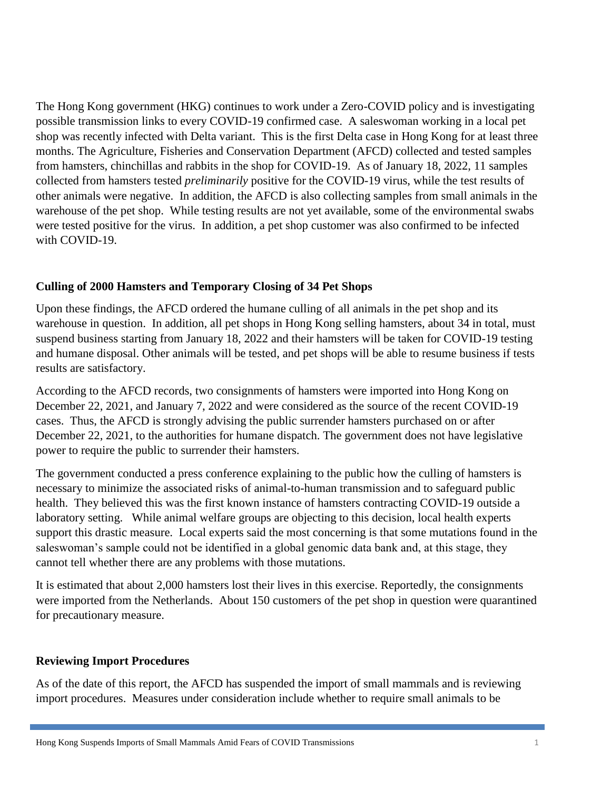The Hong Kong government (HKG) continues to work under a Zero-COVID policy and is investigating possible transmission links to every COVID-19 confirmed case. A saleswoman working in a local pet shop was recently infected with Delta variant. This is the first Delta case in Hong Kong for at least three months. The Agriculture, Fisheries and Conservation Department (AFCD) collected and tested samples from hamsters, chinchillas and rabbits in the shop for COVID-19. As of January 18, 2022, 11 samples collected from hamsters tested *preliminarily* positive for the COVID-19 virus, while the test results of other animals were negative. In addition, the AFCD is also collecting samples from small animals in the warehouse of the pet shop. While testing results are not yet available, some of the environmental swabs were tested positive for the virus. In addition, a pet shop customer was also confirmed to be infected with COVID-19.

### **Culling of 2000 Hamsters and Temporary Closing of 34 Pet Shops**

Upon these findings, the AFCD ordered the humane culling of all animals in the pet shop and its warehouse in question. In addition, all pet shops in Hong Kong selling hamsters, about 34 in total, must suspend business starting from January 18, 2022 and their hamsters will be taken for COVID-19 testing and humane disposal. Other animals will be tested, and pet shops will be able to resume business if tests results are satisfactory.

According to the AFCD records, two consignments of hamsters were imported into Hong Kong on December 22, 2021, and January 7, 2022 and were considered as the source of the recent COVID-19 cases. Thus, the AFCD is strongly advising the public surrender hamsters purchased on or after December 22, 2021, to the authorities for humane dispatch. The government does not have legislative power to require the public to surrender their hamsters.

The government conducted a press conference explaining to the public how the culling of hamsters is necessary to minimize the associated risks of animal-to-human transmission and to safeguard public health. They believed this was the first known instance of hamsters contracting COVID-19 outside a laboratory setting. While animal welfare groups are objecting to this decision, local health experts support this drastic measure. Local experts said the most concerning is that some mutations found in the saleswoman's sample could not be identified in a global genomic data bank and, at this stage, they cannot tell whether there are any problems with those mutations.

It is estimated that about 2,000 hamsters lost their lives in this exercise. Reportedly, the consignments were imported from the Netherlands. About 150 customers of the pet shop in question were quarantined for precautionary measure.

#### **Reviewing Import Procedures**

As of the date of this report, the AFCD has suspended the import of small mammals and is reviewing import procedures. Measures under consideration include whether to require small animals to be